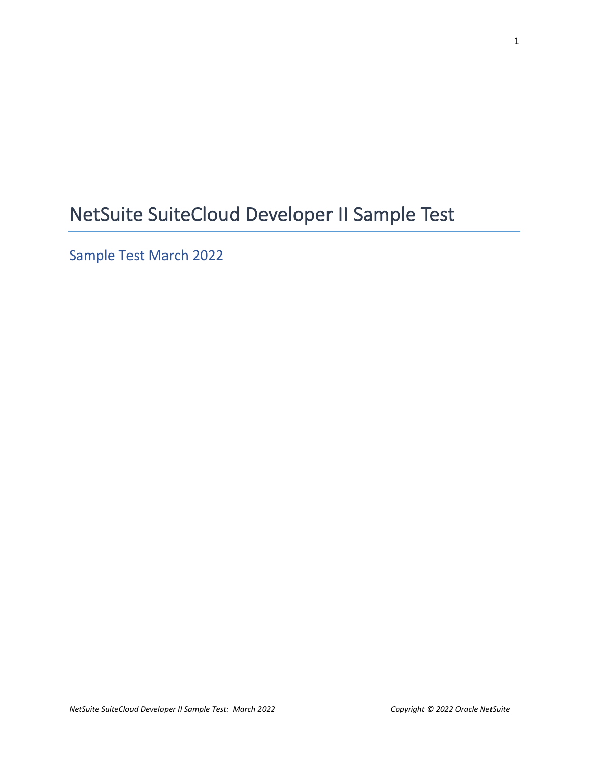# NetSuite SuiteCloud Developer II Sample Test

Sample Test March 2022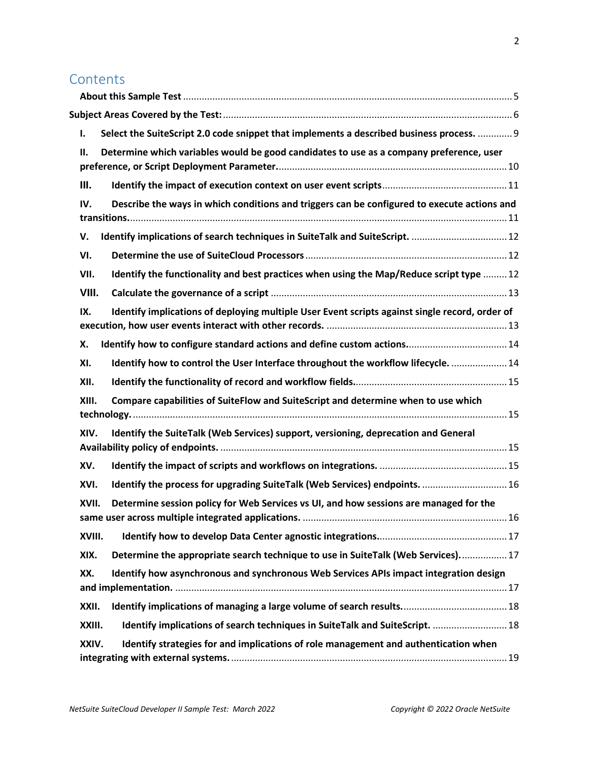## **Contents**

| Select the SuiteScript 2.0 code snippet that implements a described business process.  9<br>ı.<br>Determine which variables would be good candidates to use as a company preference, user<br>П.<br>Ш.<br>Describe the ways in which conditions and triggers can be configured to execute actions and<br>IV.<br>Identify implications of search techniques in SuiteTalk and SuiteScript.  12<br>v.<br>VI.<br>Identify the functionality and best practices when using the Map/Reduce script type  12<br>VII.<br>VIII.<br>Identify implications of deploying multiple User Event scripts against single record, order of<br>IX.<br>Х.<br>Identify how to control the User Interface throughout the workflow lifecycle.  14<br>XI.<br>XII.<br>Compare capabilities of SuiteFlow and SuiteScript and determine when to use which<br>XIII.<br>Identify the SuiteTalk (Web Services) support, versioning, deprecation and General<br>XIV.<br>XV.<br>Identify the process for upgrading SuiteTalk (Web Services) endpoints.  16<br>XVI.<br>Determine session policy for Web Services vs UI, and how sessions are managed for the<br>XVII.<br>XVIII.<br>Determine the appropriate search technique to use in SuiteTalk (Web Services) 17<br>XIX.<br>Identify how asynchronous and synchronous Web Services APIs impact integration design<br>XX.<br>XXII.<br>Identify implications of search techniques in SuiteTalk and SuiteScript.  18<br>XXIII.<br>Identify strategies for and implications of role management and authentication when<br>XXIV. |  |  |
|---------------------------------------------------------------------------------------------------------------------------------------------------------------------------------------------------------------------------------------------------------------------------------------------------------------------------------------------------------------------------------------------------------------------------------------------------------------------------------------------------------------------------------------------------------------------------------------------------------------------------------------------------------------------------------------------------------------------------------------------------------------------------------------------------------------------------------------------------------------------------------------------------------------------------------------------------------------------------------------------------------------------------------------------------------------------------------------------------------------------------------------------------------------------------------------------------------------------------------------------------------------------------------------------------------------------------------------------------------------------------------------------------------------------------------------------------------------------------------------------------------------------------------------------|--|--|
|                                                                                                                                                                                                                                                                                                                                                                                                                                                                                                                                                                                                                                                                                                                                                                                                                                                                                                                                                                                                                                                                                                                                                                                                                                                                                                                                                                                                                                                                                                                                             |  |  |
|                                                                                                                                                                                                                                                                                                                                                                                                                                                                                                                                                                                                                                                                                                                                                                                                                                                                                                                                                                                                                                                                                                                                                                                                                                                                                                                                                                                                                                                                                                                                             |  |  |
|                                                                                                                                                                                                                                                                                                                                                                                                                                                                                                                                                                                                                                                                                                                                                                                                                                                                                                                                                                                                                                                                                                                                                                                                                                                                                                                                                                                                                                                                                                                                             |  |  |
|                                                                                                                                                                                                                                                                                                                                                                                                                                                                                                                                                                                                                                                                                                                                                                                                                                                                                                                                                                                                                                                                                                                                                                                                                                                                                                                                                                                                                                                                                                                                             |  |  |
|                                                                                                                                                                                                                                                                                                                                                                                                                                                                                                                                                                                                                                                                                                                                                                                                                                                                                                                                                                                                                                                                                                                                                                                                                                                                                                                                                                                                                                                                                                                                             |  |  |
|                                                                                                                                                                                                                                                                                                                                                                                                                                                                                                                                                                                                                                                                                                                                                                                                                                                                                                                                                                                                                                                                                                                                                                                                                                                                                                                                                                                                                                                                                                                                             |  |  |
|                                                                                                                                                                                                                                                                                                                                                                                                                                                                                                                                                                                                                                                                                                                                                                                                                                                                                                                                                                                                                                                                                                                                                                                                                                                                                                                                                                                                                                                                                                                                             |  |  |
|                                                                                                                                                                                                                                                                                                                                                                                                                                                                                                                                                                                                                                                                                                                                                                                                                                                                                                                                                                                                                                                                                                                                                                                                                                                                                                                                                                                                                                                                                                                                             |  |  |
|                                                                                                                                                                                                                                                                                                                                                                                                                                                                                                                                                                                                                                                                                                                                                                                                                                                                                                                                                                                                                                                                                                                                                                                                                                                                                                                                                                                                                                                                                                                                             |  |  |
|                                                                                                                                                                                                                                                                                                                                                                                                                                                                                                                                                                                                                                                                                                                                                                                                                                                                                                                                                                                                                                                                                                                                                                                                                                                                                                                                                                                                                                                                                                                                             |  |  |
|                                                                                                                                                                                                                                                                                                                                                                                                                                                                                                                                                                                                                                                                                                                                                                                                                                                                                                                                                                                                                                                                                                                                                                                                                                                                                                                                                                                                                                                                                                                                             |  |  |
|                                                                                                                                                                                                                                                                                                                                                                                                                                                                                                                                                                                                                                                                                                                                                                                                                                                                                                                                                                                                                                                                                                                                                                                                                                                                                                                                                                                                                                                                                                                                             |  |  |
|                                                                                                                                                                                                                                                                                                                                                                                                                                                                                                                                                                                                                                                                                                                                                                                                                                                                                                                                                                                                                                                                                                                                                                                                                                                                                                                                                                                                                                                                                                                                             |  |  |
|                                                                                                                                                                                                                                                                                                                                                                                                                                                                                                                                                                                                                                                                                                                                                                                                                                                                                                                                                                                                                                                                                                                                                                                                                                                                                                                                                                                                                                                                                                                                             |  |  |
|                                                                                                                                                                                                                                                                                                                                                                                                                                                                                                                                                                                                                                                                                                                                                                                                                                                                                                                                                                                                                                                                                                                                                                                                                                                                                                                                                                                                                                                                                                                                             |  |  |
|                                                                                                                                                                                                                                                                                                                                                                                                                                                                                                                                                                                                                                                                                                                                                                                                                                                                                                                                                                                                                                                                                                                                                                                                                                                                                                                                                                                                                                                                                                                                             |  |  |
|                                                                                                                                                                                                                                                                                                                                                                                                                                                                                                                                                                                                                                                                                                                                                                                                                                                                                                                                                                                                                                                                                                                                                                                                                                                                                                                                                                                                                                                                                                                                             |  |  |
|                                                                                                                                                                                                                                                                                                                                                                                                                                                                                                                                                                                                                                                                                                                                                                                                                                                                                                                                                                                                                                                                                                                                                                                                                                                                                                                                                                                                                                                                                                                                             |  |  |
|                                                                                                                                                                                                                                                                                                                                                                                                                                                                                                                                                                                                                                                                                                                                                                                                                                                                                                                                                                                                                                                                                                                                                                                                                                                                                                                                                                                                                                                                                                                                             |  |  |
|                                                                                                                                                                                                                                                                                                                                                                                                                                                                                                                                                                                                                                                                                                                                                                                                                                                                                                                                                                                                                                                                                                                                                                                                                                                                                                                                                                                                                                                                                                                                             |  |  |
|                                                                                                                                                                                                                                                                                                                                                                                                                                                                                                                                                                                                                                                                                                                                                                                                                                                                                                                                                                                                                                                                                                                                                                                                                                                                                                                                                                                                                                                                                                                                             |  |  |
|                                                                                                                                                                                                                                                                                                                                                                                                                                                                                                                                                                                                                                                                                                                                                                                                                                                                                                                                                                                                                                                                                                                                                                                                                                                                                                                                                                                                                                                                                                                                             |  |  |
|                                                                                                                                                                                                                                                                                                                                                                                                                                                                                                                                                                                                                                                                                                                                                                                                                                                                                                                                                                                                                                                                                                                                                                                                                                                                                                                                                                                                                                                                                                                                             |  |  |
|                                                                                                                                                                                                                                                                                                                                                                                                                                                                                                                                                                                                                                                                                                                                                                                                                                                                                                                                                                                                                                                                                                                                                                                                                                                                                                                                                                                                                                                                                                                                             |  |  |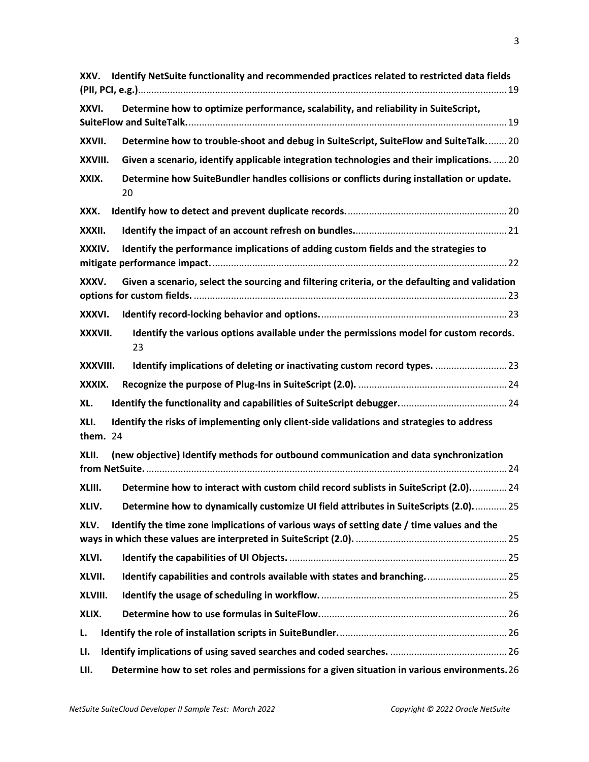| XXV.             | Identify NetSuite functionality and recommended practices related to restricted data fields     |
|------------------|-------------------------------------------------------------------------------------------------|
| XXVI.            | Determine how to optimize performance, scalability, and reliability in SuiteScript,             |
| XXVII.           | Determine how to trouble-shoot and debug in SuiteScript, SuiteFlow and SuiteTalk 20             |
| XXVIII.          | Given a scenario, identify applicable integration technologies and their implications.  20      |
| XXIX.            | Determine how SuiteBundler handles collisions or conflicts during installation or update.<br>20 |
| XXX.             |                                                                                                 |
| XXXII.           |                                                                                                 |
| XXXIV.           | Identify the performance implications of adding custom fields and the strategies to             |
| XXXV.            | Given a scenario, select the sourcing and filtering criteria, or the defaulting and validation  |
| XXXVI.           |                                                                                                 |
| XXXVII.          | Identify the various options available under the permissions model for custom records.<br>23    |
| XXXVIII.         | Identify implications of deleting or inactivating custom record types.  23                      |
| XXXIX.           |                                                                                                 |
| XL.              |                                                                                                 |
| XLI.<br>them. 24 | Identify the risks of implementing only client-side validations and strategies to address       |
| XLII.            | (new objective) Identify methods for outbound communication and data synchronization            |
| XLIII.           | Determine how to interact with custom child record sublists in SuiteScript (2.0) 24             |
| XLIV.            | Determine how to dynamically customize UI field attributes in SuiteScripts (2.0) 25             |
| XLV.             | Identify the time zone implications of various ways of setting date / time values and the       |
| XLVI.            |                                                                                                 |
| XLVII.           | Identify capabilities and controls available with states and branching 25                       |
| XLVIII.          |                                                                                                 |
| XLIX.            |                                                                                                 |
| L.               |                                                                                                 |
| LI.              |                                                                                                 |
| LII.             | Determine how to set roles and permissions for a given situation in various environments.26     |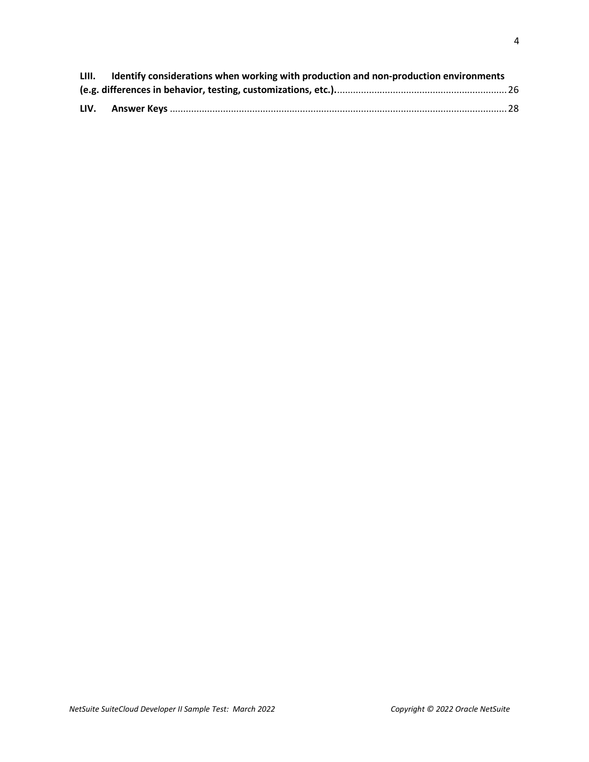| LIII. | Identify considerations when working with production and non-production environments |  |
|-------|--------------------------------------------------------------------------------------|--|
|       |                                                                                      |  |
| LIV.  |                                                                                      |  |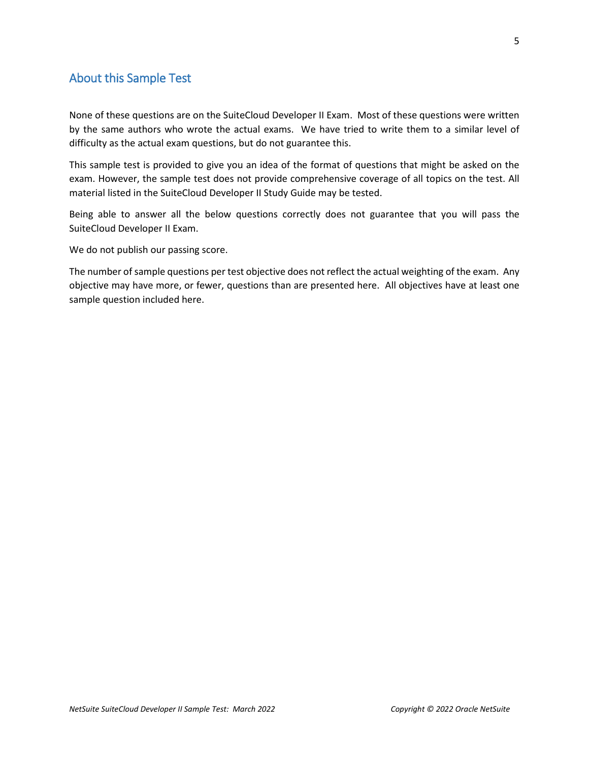## <span id="page-4-0"></span>About this Sample Test

None of these questions are on the SuiteCloud Developer II Exam. Most of these questions were written by the same authors who wrote the actual exams. We have tried to write them to a similar level of difficulty as the actual exam questions, but do not guarantee this.

This sample test is provided to give you an idea of the format of questions that might be asked on the exam. However, the sample test does not provide comprehensive coverage of all topics on the test. All material listed in the SuiteCloud Developer II Study Guide may be tested.

Being able to answer all the below questions correctly does not guarantee that you will pass the SuiteCloud Developer II Exam.

We do not publish our passing score.

The number of sample questions per test objective does not reflect the actual weighting of the exam. Any objective may have more, or fewer, questions than are presented here. All objectives have at least one sample question included here.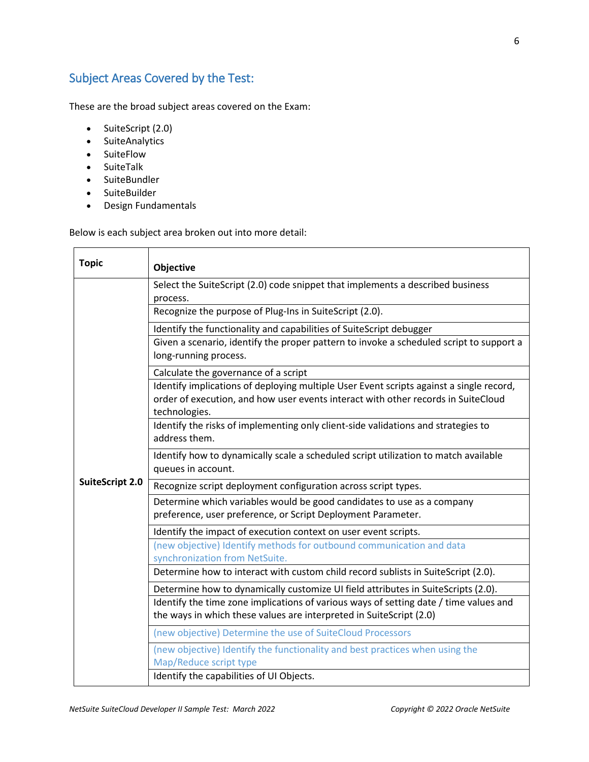# <span id="page-5-0"></span>Subject Areas Covered by the Test:

These are the broad subject areas covered on the Exam:

- SuiteScript (2.0)
- SuiteAnalytics
- SuiteFlow
- SuiteTalk
- SuiteBundler
- SuiteBuilder
- Design Fundamentals

Below is each subject area broken out into more detail:

| <b>Topic</b>           | Objective                                                                                                                                                                                                                                                                                                                                                                                                                        |  |  |  |
|------------------------|----------------------------------------------------------------------------------------------------------------------------------------------------------------------------------------------------------------------------------------------------------------------------------------------------------------------------------------------------------------------------------------------------------------------------------|--|--|--|
| <b>SuiteScript 2.0</b> | Select the SuiteScript (2.0) code snippet that implements a described business<br>process.<br>Recognize the purpose of Plug-Ins in SuiteScript (2.0).                                                                                                                                                                                                                                                                            |  |  |  |
|                        | Identify the functionality and capabilities of SuiteScript debugger<br>Given a scenario, identify the proper pattern to invoke a scheduled script to support a<br>long-running process.<br>Calculate the governance of a script<br>Identify implications of deploying multiple User Event scripts against a single record,<br>order of execution, and how user events interact with other records in SuiteCloud<br>technologies. |  |  |  |
|                        | Identify the risks of implementing only client-side validations and strategies to<br>address them.<br>Identify how to dynamically scale a scheduled script utilization to match available                                                                                                                                                                                                                                        |  |  |  |
|                        | queues in account.<br>Recognize script deployment configuration across script types.<br>Determine which variables would be good candidates to use as a company<br>preference, user preference, or Script Deployment Parameter.                                                                                                                                                                                                   |  |  |  |
|                        | Identify the impact of execution context on user event scripts.<br>(new objective) Identify methods for outbound communication and data<br>synchronization from NetSuite.                                                                                                                                                                                                                                                        |  |  |  |
|                        | Determine how to interact with custom child record sublists in SuiteScript (2.0).<br>Determine how to dynamically customize UI field attributes in SuiteScripts (2.0).<br>Identify the time zone implications of various ways of setting date / time values and<br>the ways in which these values are interpreted in SuiteScript (2.0)                                                                                           |  |  |  |
|                        | (new objective) Determine the use of SuiteCloud Processors<br>(new objective) Identify the functionality and best practices when using the<br>Map/Reduce script type<br>Identify the capabilities of UI Objects.                                                                                                                                                                                                                 |  |  |  |
|                        |                                                                                                                                                                                                                                                                                                                                                                                                                                  |  |  |  |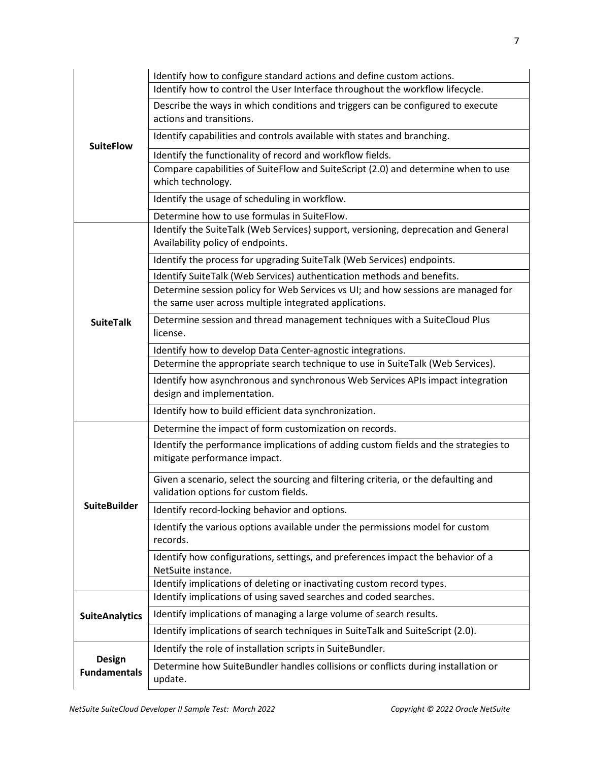|                                      | Identify how to configure standard actions and define custom actions.                                                                       |  |  |  |  |  |
|--------------------------------------|---------------------------------------------------------------------------------------------------------------------------------------------|--|--|--|--|--|
|                                      | Identify how to control the User Interface throughout the workflow lifecycle.                                                               |  |  |  |  |  |
|                                      | Describe the ways in which conditions and triggers can be configured to execute<br>actions and transitions.                                 |  |  |  |  |  |
| <b>SuiteFlow</b>                     | Identify capabilities and controls available with states and branching.                                                                     |  |  |  |  |  |
|                                      | Identify the functionality of record and workflow fields.                                                                                   |  |  |  |  |  |
|                                      | Compare capabilities of SuiteFlow and SuiteScript (2.0) and determine when to use<br>which technology.                                      |  |  |  |  |  |
|                                      | Identify the usage of scheduling in workflow.                                                                                               |  |  |  |  |  |
|                                      | Determine how to use formulas in SuiteFlow.                                                                                                 |  |  |  |  |  |
|                                      | Identify the SuiteTalk (Web Services) support, versioning, deprecation and General<br>Availability policy of endpoints.                     |  |  |  |  |  |
|                                      | Identify the process for upgrading SuiteTalk (Web Services) endpoints.                                                                      |  |  |  |  |  |
|                                      | Identify SuiteTalk (Web Services) authentication methods and benefits.                                                                      |  |  |  |  |  |
|                                      | Determine session policy for Web Services vs UI; and how sessions are managed for<br>the same user across multiple integrated applications. |  |  |  |  |  |
| <b>SuiteTalk</b>                     | Determine session and thread management techniques with a SuiteCloud Plus<br>license.                                                       |  |  |  |  |  |
|                                      | Identify how to develop Data Center-agnostic integrations.                                                                                  |  |  |  |  |  |
|                                      | Determine the appropriate search technique to use in SuiteTalk (Web Services).                                                              |  |  |  |  |  |
|                                      | Identify how asynchronous and synchronous Web Services APIs impact integration<br>design and implementation.                                |  |  |  |  |  |
|                                      | Identify how to build efficient data synchronization.                                                                                       |  |  |  |  |  |
|                                      | Determine the impact of form customization on records.                                                                                      |  |  |  |  |  |
|                                      | Identify the performance implications of adding custom fields and the strategies to<br>mitigate performance impact.                         |  |  |  |  |  |
|                                      | Given a scenario, select the sourcing and filtering criteria, or the defaulting and<br>validation options for custom fields.                |  |  |  |  |  |
| <b>SuiteBuilder</b>                  | Identify record-locking behavior and options.                                                                                               |  |  |  |  |  |
|                                      | Identify the various options available under the permissions model for custom<br>records.                                                   |  |  |  |  |  |
|                                      | Identify how configurations, settings, and preferences impact the behavior of a<br>NetSuite instance.                                       |  |  |  |  |  |
|                                      | Identify implications of deleting or inactivating custom record types.                                                                      |  |  |  |  |  |
|                                      | Identify implications of using saved searches and coded searches.                                                                           |  |  |  |  |  |
| <b>SuiteAnalytics</b>                | Identify implications of managing a large volume of search results.                                                                         |  |  |  |  |  |
|                                      | Identify implications of search techniques in SuiteTalk and SuiteScript (2.0).                                                              |  |  |  |  |  |
|                                      | Identify the role of installation scripts in SuiteBundler.                                                                                  |  |  |  |  |  |
| <b>Design</b><br><b>Fundamentals</b> | Determine how SuiteBundler handles collisions or conflicts during installation or<br>update.                                                |  |  |  |  |  |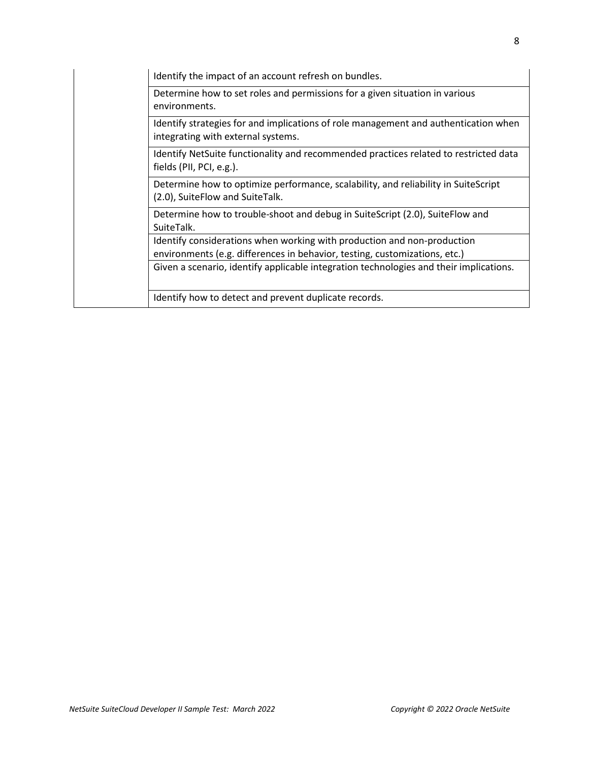| Identify the impact of an account refresh on bundles.                                                                                                 |
|-------------------------------------------------------------------------------------------------------------------------------------------------------|
| Determine how to set roles and permissions for a given situation in various<br>environments.                                                          |
| Identify strategies for and implications of role management and authentication when<br>integrating with external systems.                             |
| Identify NetSuite functionality and recommended practices related to restricted data<br>fields (PII, PCI, e.g.).                                      |
| Determine how to optimize performance, scalability, and reliability in SuiteScript<br>(2.0), SuiteFlow and SuiteTalk.                                 |
| Determine how to trouble-shoot and debug in SuiteScript (2.0), SuiteFlow and<br>SuiteTalk.                                                            |
| Identify considerations when working with production and non-production<br>environments (e.g. differences in behavior, testing, customizations, etc.) |
| Given a scenario, identify applicable integration technologies and their implications.                                                                |
| Identify how to detect and prevent duplicate records.                                                                                                 |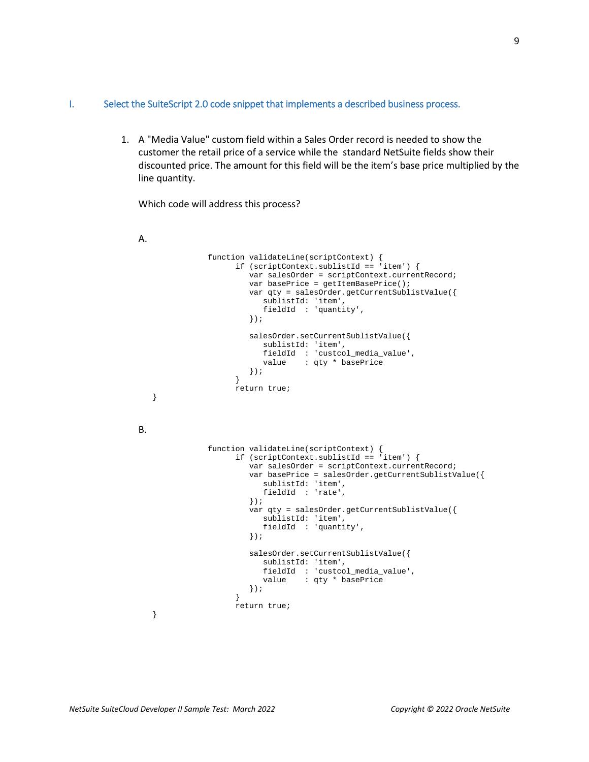#### <span id="page-8-0"></span>I. Select the SuiteScript 2.0 code snippet that implements a described business process.

1. A "Media Value" custom field within a Sales Order record is needed to show the customer the retail price of a service while the standard NetSuite fields show their discounted price. The amount for this field will be the item's base price multiplied by the line quantity.

Which code will address this process?

A.

}

B.

function validateLine(scriptContext) { if (scriptContext.sublistId == 'item') { var salesOrder = scriptContext.currentRecord; var basePrice = getItemBasePrice(); var qty = salesOrder.getCurrentSublistValue({ sublistId: 'item', fieldId : 'quantity', }); salesOrder.setCurrentSublistValue({ sublistId: 'item', fieldId : 'custcol\_media\_value', value : qty \* basePrice  $\begin{matrix} \end{matrix} \begin{matrix} \end{matrix} ;$  } return true; function validateLine(scriptContext) { if (scriptContext.sublistId == 'item') { var salesOrder = scriptContext.currentRecord; var basePrice = salesOrder.getCurrentSublistValue({ sublistId: 'item', fieldId : 'rate', }); var qty = salesOrder.getCurrentSublistValue({ sublistId: 'item', fieldId : 'quantity', }); salesOrder.setCurrentSublistValue({ sublistId: 'item', fieldId : 'custcol\_media\_value', value : qty \* basePrice }); } return true;

}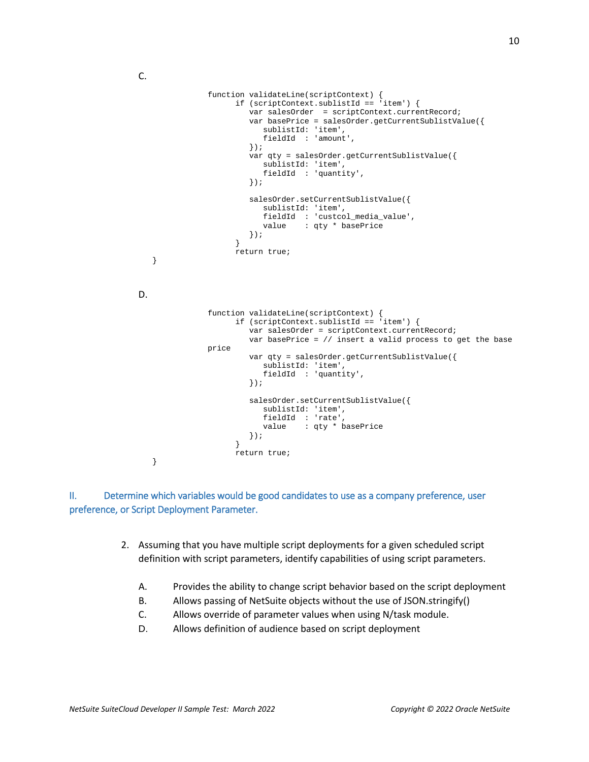C.

```
function validateLine(scriptContext) {
                        if (scriptContext.sublistId == 'item') {
                  var salesOrder = scriptContext.currentRecord;
                  var basePrice = salesOrder.getCurrentSublistValue({
                              sublistId: 'item',
                              fieldId : 'amount',
                           });
                           var qty = salesOrder.getCurrentSublistValue({
                              sublistId: 'item',
                              fieldId : 'quantity',
                           });
                           salesOrder.setCurrentSublistValue({
                              sublistId: 'item',
                             fieldId : 'custcol_media_value',<br>value : qtv * basePrice
                                       : qty * basePrice
                       \begin{matrix} \cdot & \cdot \\ \cdot & \cdot \end{matrix} }
                        return true;
    }
D.
                function validateLine(scriptContext) {
                        if (scriptContext.sublistId == 'item') {
                           var salesOrder = scriptContext.currentRecord;
                           var basePrice = // insert a valid process to get the base 
                price
                           var qty = salesOrder.getCurrentSublistValue({
                              sublistId: 'item',
                              fieldId : 'quantity',
                           });
                           salesOrder.setCurrentSublistValue({
                              sublistId: 'item',
                              fieldId : 'rate',
                              value : qty * basePrice
                           });
                        }
                        return true;
    }
```
<span id="page-9-0"></span>II. Determine which variables would be good candidates to use as a company preference, user preference, or Script Deployment Parameter.

- 2. Assuming that you have multiple script deployments for a given scheduled script definition with script parameters, identify capabilities of using script parameters.
	- A. Provides the ability to change script behavior based on the script deployment
	- B. Allows passing of NetSuite objects without the use of JSON.stringify()
	- C. Allows override of parameter values when using N/task module.
	- D. Allows definition of audience based on script deployment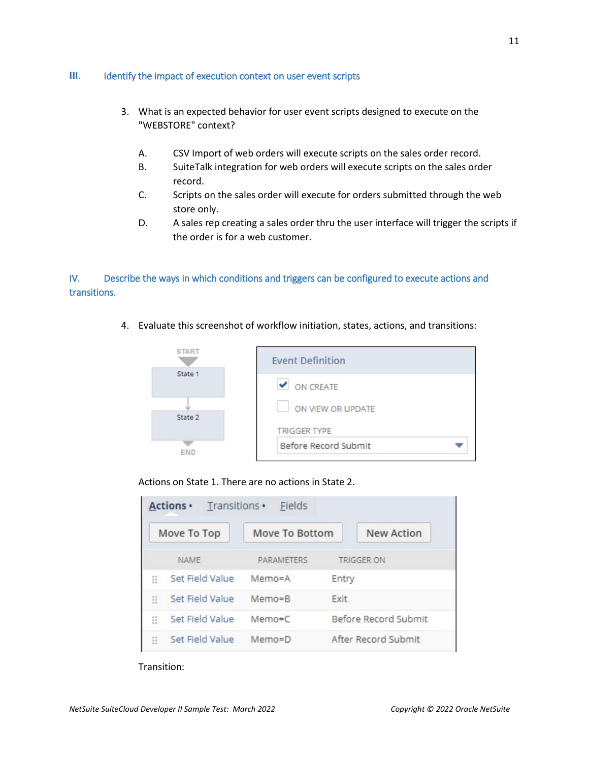#### <span id="page-10-0"></span>**III.** Identify the impact of execution context on user event scripts

- 3. What is an expected behavior for user event scripts designed to execute on the "WEBSTORE" context?
	- A. CSV Import of web orders will execute scripts on the sales order record.
	- B. SuiteTalk integration for web orders will execute scripts on the sales order record.
	- C. Scripts on the sales order will execute for orders submitted through the web store only.
	- D. A sales rep creating a sales order thru the user interface will trigger the scripts if the order is for a web customer.

## <span id="page-10-1"></span>IV. Describe the ways in which conditions and triggers can be configured to execute actions and transitions.

4. Evaluate this screenshot of workflow initiation, states, actions, and transitions:



Actions on State 1. There are no actions in State 2.

| <b>Move To Top</b> |                 | Move To Bottom    |                      | <b>New Action</b> |  |
|--------------------|-----------------|-------------------|----------------------|-------------------|--|
|                    | <b>NAME</b>     | <b>PARAMETERS</b> |                      | <b>TRIGGER ON</b> |  |
| B                  | Set Field Value | Memo=A            | Entry                |                   |  |
| Ξ                  | Set Field Value | $Memo = B$        | Exit                 |                   |  |
| ã                  | Set Field Value | $Memo=C$          | Before Record Submit |                   |  |
| Ξ                  | Set Field Value | $Memo = D$        | After Record Submit  |                   |  |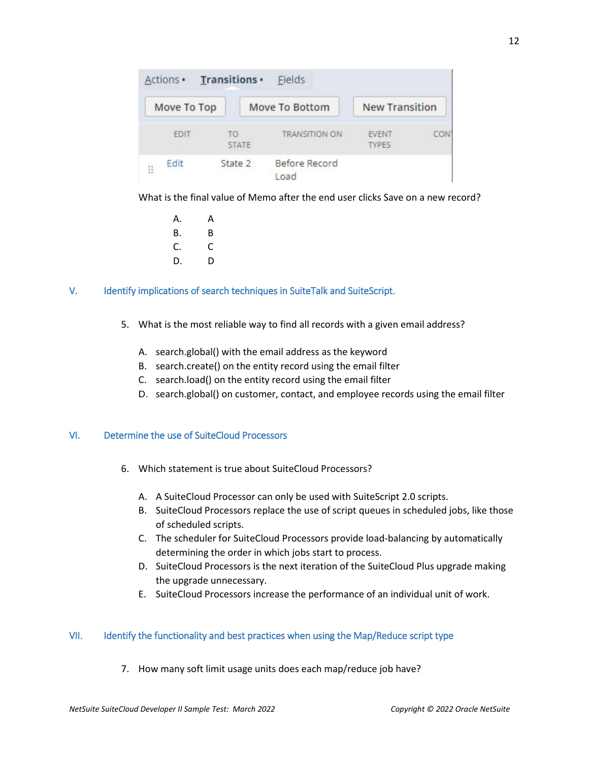| Move To Top |                    | <b>Move To Bottom</b> | <b>New Transition</b>        |     |
|-------------|--------------------|-----------------------|------------------------------|-----|
| <b>EDIT</b> | TΟ<br><b>STATE</b> | <b>TRANSITION ON</b>  | <b>EVENT</b><br><b>TYPES</b> | COM |
| Edit<br>Ħ   | State 2            | Before Record<br>Load |                              |     |

What is the final value of Memo after the end user clicks Save on a new record?

A. A B. B  $C.$   $C.$ D. D

#### <span id="page-11-0"></span>V. Identify implications of search techniques in SuiteTalk and SuiteScript.

- 5. What is the most reliable way to find all records with a given email address?
	- A. search.global() with the email address as the keyword
	- B. search.create() on the entity record using the email filter
	- C. search.load() on the entity record using the email filter
	- D. search.global() on customer, contact, and employee records using the email filter

#### <span id="page-11-1"></span>VI. Determine the use of SuiteCloud Processors

- 6. Which statement is true about SuiteCloud Processors?
	- A. A SuiteCloud Processor can only be used with SuiteScript 2.0 scripts.
	- B. SuiteCloud Processors replace the use of script queues in scheduled jobs, like those of scheduled scripts.
	- C. The scheduler for SuiteCloud Processors provide load-balancing by automatically determining the order in which jobs start to process.
	- D. SuiteCloud Processors is the next iteration of the SuiteCloud Plus upgrade making the upgrade unnecessary.
	- E. SuiteCloud Processors increase the performance of an individual unit of work.

#### <span id="page-11-2"></span>VII. Identify the functionality and best practices when using the Map/Reduce script type

7. How many soft limit usage units does each map/reduce job have?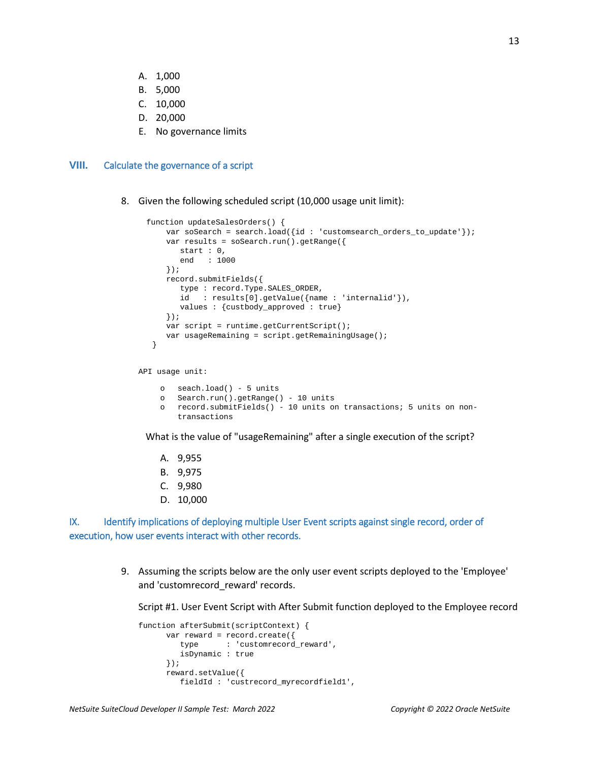- A. 1,000
- B. 5,000
- C. 10,000
- D. 20,000
- E. No governance limits

#### <span id="page-12-0"></span>**VIII.** Calculate the governance of a script

8. Given the following scheduled script (10,000 usage unit limit):

```
 function updateSalesOrders() { 
    var soSearch = search.load({id : 'customsearch_orders_to_update'});
     var results = soSearch.run().getRange({ 
       start : 0, 
        end : 1000 
     }); 
     record.submitFields({ 
        type : record.Type.SALES_ORDER, 
        id : results[0].getValue({name : 'internalid'}), 
        values : {custbody_approved : true} 
     }); 
    var script = runtime.getCurrentScript();
     var usageRemaining = script.getRemainingUsage(); 
  }
```
API usage unit:

```
o seach.load() - 5 units 
o Search.run().getRange() - 10 units 
o record.submitFields() - 10 units on transactions; 5 units on non-
   transactions
```
What is the value of "usageRemaining" after a single execution of the script?

- A. 9,955
- B. 9,975
- C. 9,980
- D. 10,000

<span id="page-12-1"></span>IX. Identify implications of deploying multiple User Event scripts against single record, order of execution, how user events interact with other records.

> 9. Assuming the scripts below are the only user event scripts deployed to the 'Employee' and 'customrecord\_reward' records.

Script #1. User Event Script with After Submit function deployed to the Employee record

```
function afterSubmit(scriptContext) {
      var reward = record.create({
         type : 'customrecord_reward',
         isDynamic : true
      });
      reward.setValue({
         fieldId : 'custrecord_myrecordfield1',
```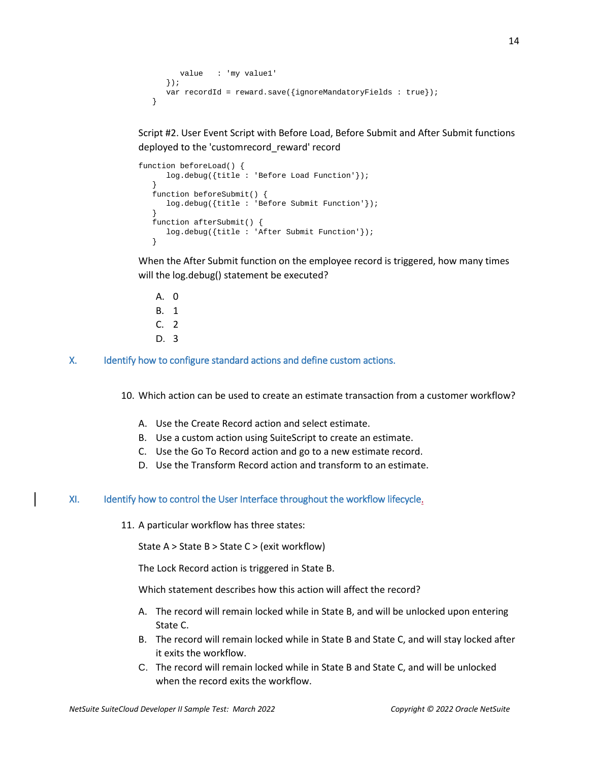```
 value : 'my value1'
   });
  var recordId = reward.save(\{ignoreMandatoryFields : true\});
 }
```
Script #2. User Event Script with Before Load, Before Submit and After Submit functions deployed to the 'customrecord\_reward' record

```
function beforeLoad() {
      log.debug({title : 'Before Load Function'});
 }
   function beforeSubmit() {
      log.debug({title : 'Before Submit Function'});
 }
   function afterSubmit() {
      log.debug({title : 'After Submit Function'});
    }
```
When the After Submit function on the employee record is triggered, how many times will the log.debug() statement be executed?

- A. 0 B. 1 C. 2 D. 3
- <span id="page-13-0"></span>X. Identify how to configure standard actions and define custom actions.

10. Which action can be used to create an estimate transaction from a customer workflow?

- A. Use the Create Record action and select estimate.
- B. Use a custom action using SuiteScript to create an estimate.
- C. Use the Go To Record action and go to a new estimate record.
- D. Use the Transform Record action and transform to an estimate.

#### <span id="page-13-1"></span>XI. Identify how to control the User Interface throughout the workflow lifecycle.

11. A particular workflow has three states:

State A > State B > State C > (exit workflow)

The Lock Record action is triggered in State B.

Which statement describes how this action will affect the record?

- A. The record will remain locked while in State B, and will be unlocked upon entering State C.
- B. The record will remain locked while in State B and State C, and will stay locked after it exits the workflow.
- C. The record will remain locked while in State B and State C, and will be unlocked when the record exits the workflow.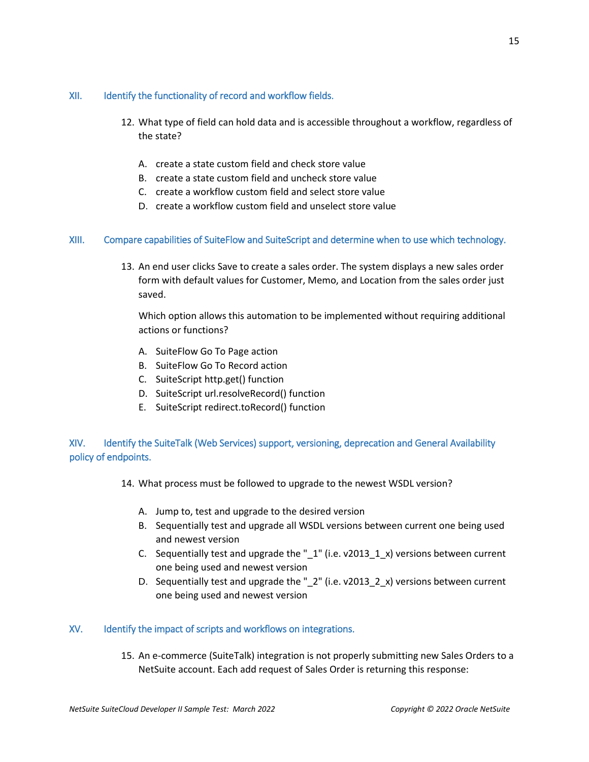#### <span id="page-14-0"></span>XII. Identify the functionality of record and workflow fields.

- 12. What type of field can hold data and is accessible throughout a workflow, regardless of the state?
	- A. create a state custom field and check store value
	- B. create a state custom field and uncheck store value
	- C. create a workflow custom field and select store value
	- D. create a workflow custom field and unselect store value

#### <span id="page-14-1"></span>XIII. Compare capabilities of SuiteFlow and SuiteScript and determine when to use which technology.

13. An end user clicks Save to create a sales order. The system displays a new sales order form with default values for Customer, Memo, and Location from the sales order just saved.

Which option allows this automation to be implemented without requiring additional actions or functions?

- A. SuiteFlow Go To Page action
- B. SuiteFlow Go To Record action
- C. SuiteScript http.get() function
- D. SuiteScript url.resolveRecord() function
- E. SuiteScript redirect.toRecord() function

## <span id="page-14-2"></span>XIV. Identify the SuiteTalk (Web Services) support, versioning, deprecation and General Availability policy of endpoints.

14. What process must be followed to upgrade to the newest WSDL version?

- A. Jump to, test and upgrade to the desired version
- B. Sequentially test and upgrade all WSDL versions between current one being used and newest version
- C. Sequentially test and upgrade the " $1$ " (i.e. v2013 $1_x$ ) versions between current one being used and newest version
- D. Sequentially test and upgrade the "\_2" (i.e. v2013\_2\_x) versions between current one being used and newest version

#### <span id="page-14-3"></span>XV. Identify the impact of scripts and workflows on integrations.

15. An e-commerce (SuiteTalk) integration is not properly submitting new Sales Orders to a NetSuite account. Each add request of Sales Order is returning this response: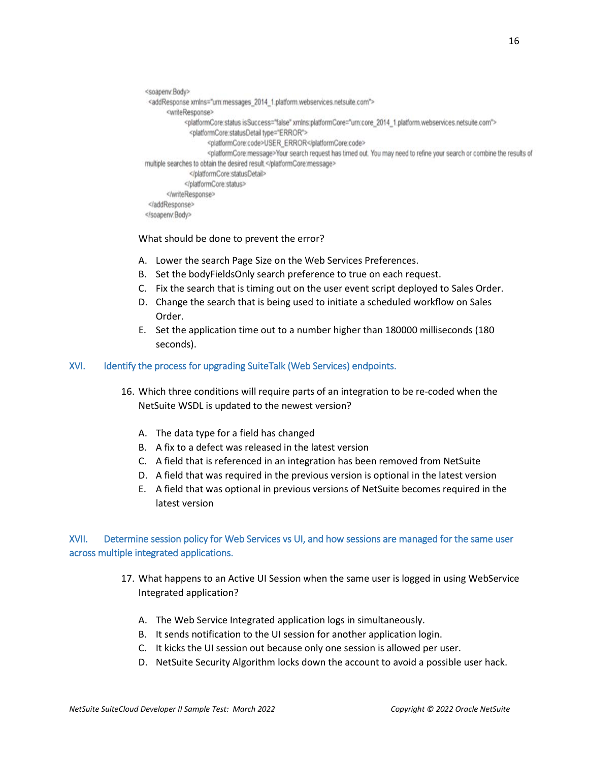```
<soapenv:Body>
<addResponse xmlns="urn:messages 2014 1.platform.webservices.netsuite.com">
       <writeResponse>
             <platformCore:status isSuccess="false" xmlns:platformCore="um:core_2014_1.platform.webservices.netsuite.com">
              <platformCore:statusDetail type="ERROR">
                     <platformCore:code>USER_ERROR</platformCore:code>
                     <platformCore:message>Your search request has timed out. You may need to refine your search or combine the results of
multiple searches to obtain the desired result.</platformCore:message>
              </platformCore:statusDetail>
             </platformCore.status>
       </writeResponse>
</addResponse>
</soapenv.Body>
```
What should be done to prevent the error?

- A. Lower the search Page Size on the Web Services Preferences.
- B. Set the bodyFieldsOnly search preference to true on each request.
- C. Fix the search that is timing out on the user event script deployed to Sales Order.
- D. Change the search that is being used to initiate a scheduled workflow on Sales Order.
- E. Set the application time out to a number higher than 180000 milliseconds (180 seconds).

#### <span id="page-15-0"></span>XVI. Identify the process for upgrading SuiteTalk (Web Services) endpoints.

- 16. Which three conditions will require parts of an integration to be re-coded when the NetSuite WSDL is updated to the newest version?
	- A. The data type for a field has changed
	- B. A fix to a defect was released in the latest version
	- C. A field that is referenced in an integration has been removed from NetSuite
	- D. A field that was required in the previous version is optional in the latest version
	- E. A field that was optional in previous versions of NetSuite becomes required in the latest version

## <span id="page-15-1"></span>XVII. Determine session policy for Web Services vs UI, and how sessions are managed for the same user across multiple integrated applications.

- 17. What happens to an Active UI Session when the same user is logged in using WebService Integrated application?
	- A. The Web Service Integrated application logs in simultaneously.
	- B. It sends notification to the UI session for another application login.
	- C. It kicks the UI session out because only one session is allowed per user.
	- D. NetSuite Security Algorithm locks down the account to avoid a possible user hack.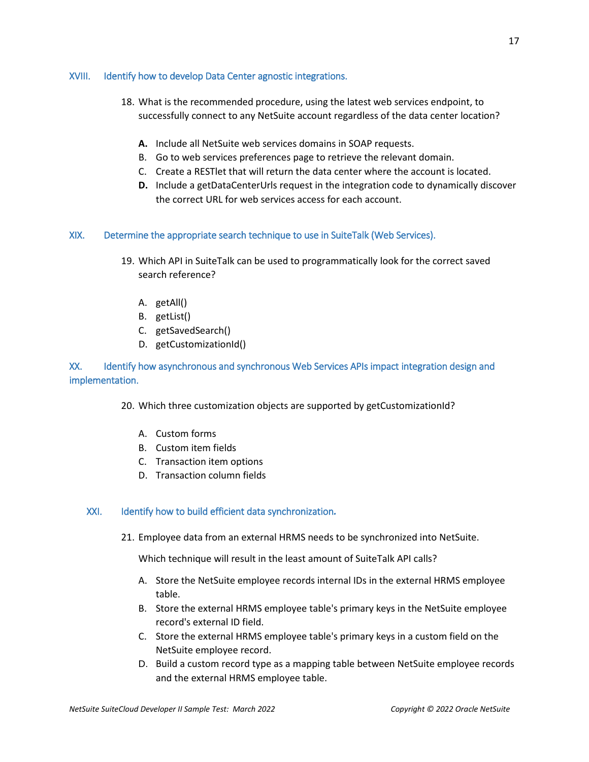#### <span id="page-16-0"></span>XVIII. Identify how to develop Data Center agnostic integrations.

- 18. What is the recommended procedure, using the latest web services endpoint, to successfully connect to any NetSuite account regardless of the data center location?
	- **A.** Include all NetSuite web services domains in SOAP requests.
	- B. Go to web services preferences page to retrieve the relevant domain.
	- C. Create a RESTlet that will return the data center where the account is located.
	- **D.** Include a getDataCenterUrls request in the integration code to dynamically discover the correct URL for web services access for each account.

#### <span id="page-16-1"></span>XIX. Determine the appropriate search technique to use in SuiteTalk (Web Services).

- 19. Which API in SuiteTalk can be used to programmatically look for the correct saved search reference?
	- A. getAll()
	- B. getList()
	- C. getSavedSearch()
	- D. getCustomizationId()

## <span id="page-16-2"></span>XX. Identify how asynchronous and synchronous Web Services APIs impact integration design and implementation.

- 20. Which three customization objects are supported by getCustomizationId?
	- A. Custom forms
	- B. Custom item fields
	- C. Transaction item options
	- D. Transaction column fields

#### XXI. Identify how to build efficient data synchronization*.*

21. Employee data from an external HRMS needs to be synchronized into NetSuite.

Which technique will result in the least amount of SuiteTalk API calls?

- A. Store the NetSuite employee records internal IDs in the external HRMS employee table.
- B. Store the external HRMS employee table's primary keys in the NetSuite employee record's external ID field.
- C. Store the external HRMS employee table's primary keys in a custom field on the NetSuite employee record.
- D. Build a custom record type as a mapping table between NetSuite employee records and the external HRMS employee table.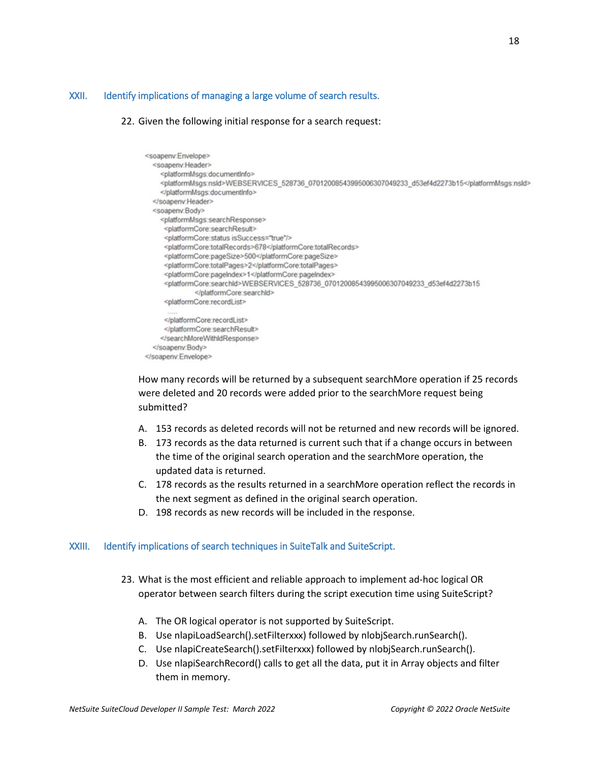#### <span id="page-17-0"></span>XXII. Identify implications of managing a large volume of search results.

#### 22. Given the following initial response for a search request:

```
<soapenv:Envelope>
  <soapenv:Header>
   <platformMsgs:documentInfo>
    <platformMsgs:nsld>WEBSERVICES_528736_07012008543995006307049233_d53ef4d2273b15</platformMsgs:nsld>
    </platformMsgs:documentInfo>
  </soapeny:Header>
  <soapenv:Body>
    <platformMsgs:searchResponse>
     <platformCore:searchResult>
     <platformCore:status isSuccess="true"/>
     <platformCore.totalRecords>678</platformCore.totalRecords>
     <platformCore:pageSize>500</platformCore:pageSize>
     <platformCore.totalPages>2</platformCore.totalPages>
     <platformCore:pageIndex>1</platformCore:pageIndex>
     <platformCore:searchId>WEBSERVICES_528736_07012008543995006307049233_d53ef4d2273b15
              </platformCore:searchid>
     <platformCore:recordList>
     </platformCore:recordList>
     </platformCore:searchResult>
    </searchMoreWithIdResponse>
  </soapenv:Body>
</soapenv.Envelope>
```
How many records will be returned by a subsequent searchMore operation if 25 records were deleted and 20 records were added prior to the searchMore request being submitted?

- A. 153 records as deleted records will not be returned and new records will be ignored.
- B. 173 records as the data returned is current such that if a change occurs in between the time of the original search operation and the searchMore operation, the updated data is returned.
- C. 178 records as the results returned in a searchMore operation reflect the records in the next segment as defined in the original search operation.
- D. 198 records as new records will be included in the response.

#### <span id="page-17-1"></span>XXIII. Identify implications of search techniques in SuiteTalk and SuiteScript.

- 23. What is the most efficient and reliable approach to implement ad-hoc logical OR operator between search filters during the script execution time using SuiteScript?
	- A. The OR logical operator is not supported by SuiteScript.
	- B. Use nlapiLoadSearch().setFilterxxx) followed by nlobjSearch.runSearch().
	- C. Use nlapiCreateSearch().setFilterxxx) followed by nlobjSearch.runSearch().
	- D. Use nlapiSearchRecord() calls to get all the data, put it in Array objects and filter them in memory.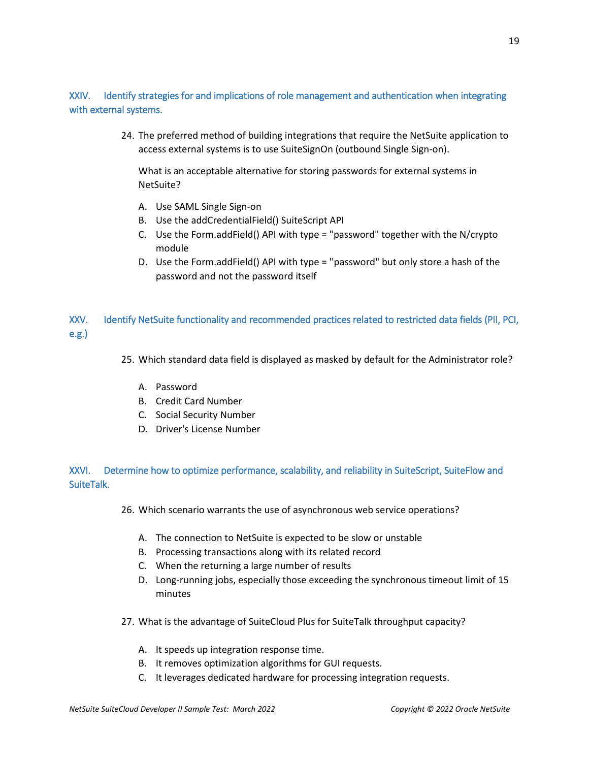## <span id="page-18-0"></span>XXIV. Identify strategies for and implications of role management and authentication when integrating with external systems.

24. The preferred method of building integrations that require the NetSuite application to access external systems is to use SuiteSignOn (outbound Single Sign-on).

What is an acceptable alternative for storing passwords for external systems in NetSuite?

- A. Use SAML Single Sign-on
- B. Use the addCredentialField() SuiteScript API
- C. Use the Form.addField() API with type = "password" together with the N/crypto module
- D. Use the Form.addField() API with type = ''password" but only store a hash of the password and not the password itself

<span id="page-18-1"></span>XXV. Identify NetSuite functionality and recommended practices related to restricted data fields (PII, PCI, e.g.)

25. Which standard data field is displayed as masked by default for the Administrator role?

- A. Password
- B. Credit Card Number
- C. Social Security Number
- D. Driver's License Number

<span id="page-18-2"></span>XXVI. Determine how to optimize performance, scalability, and reliability in SuiteScript, SuiteFlow and SuiteTalk.

- 26. Which scenario warrants the use of asynchronous web service operations?
	- A. The connection to NetSuite is expected to be slow or unstable
	- B. Processing transactions along with its related record
	- C. When the returning a large number of results
	- D. Long-running jobs, especially those exceeding the synchronous timeout limit of 15 minutes
- 27. What is the advantage of SuiteCloud Plus for SuiteTalk throughput capacity?
	- A. It speeds up integration response time.
	- B. It removes optimization algorithms for GUI requests.
	- C. It leverages dedicated hardware for processing integration requests.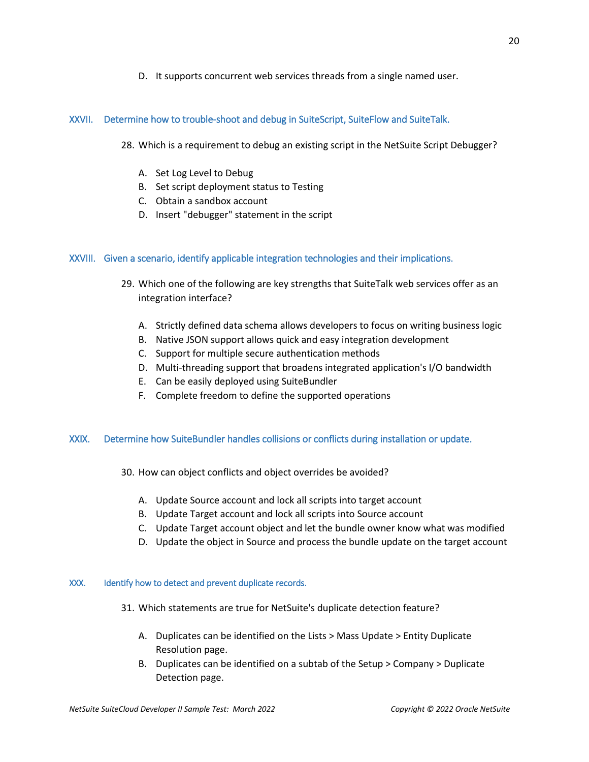D. It supports concurrent web services threads from a single named user.

#### <span id="page-19-0"></span>XXVII. Determine how to trouble-shoot and debug in SuiteScript, SuiteFlow and SuiteTalk.

- 28. Which is a requirement to debug an existing script in the NetSuite Script Debugger?
	- A. Set Log Level to Debug
	- B. Set script deployment status to Testing
	- C. Obtain a sandbox account
	- D. Insert "debugger" statement in the script

#### <span id="page-19-1"></span>XXVIII. Given a scenario, identify applicable integration technologies and their implications.

- 29. Which one of the following are key strengths that SuiteTalk web services offer as an integration interface?
	- A. Strictly defined data schema allows developers to focus on writing business logic
	- B. Native JSON support allows quick and easy integration development
	- C. Support for multiple secure authentication methods
	- D. Multi-threading support that broadens integrated application's I/O bandwidth
	- E. Can be easily deployed using SuiteBundler
	- F. Complete freedom to define the supported operations

#### <span id="page-19-2"></span>XXIX. Determine how SuiteBundler handles collisions or conflicts during installation or update.

- 30. How can object conflicts and object overrides be avoided?
	- A. Update Source account and lock all scripts into target account
	- B. Update Target account and lock all scripts into Source account
	- C. Update Target account object and let the bundle owner know what was modified
	- D. Update the object in Source and process the bundle update on the target account

#### <span id="page-19-3"></span>XXX. Identify how to detect and prevent duplicate records.

- 31. Which statements are true for NetSuite's duplicate detection feature?
	- A. Duplicates can be identified on the Lists > Mass Update > Entity Duplicate Resolution page.
	- B. Duplicates can be identified on a subtab of the Setup > Company > Duplicate Detection page.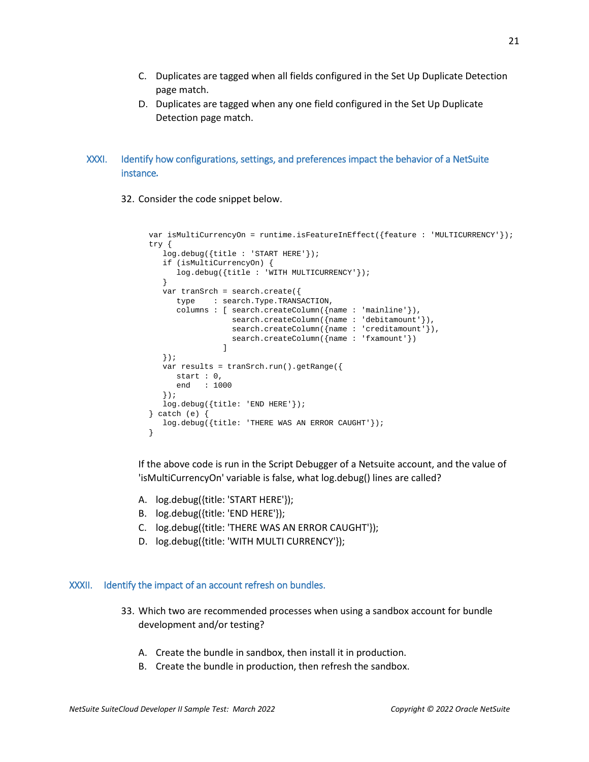- C. Duplicates are tagged when all fields configured in the Set Up Duplicate Detection page match.
- D. Duplicates are tagged when any one field configured in the Set Up Duplicate Detection page match.

## XXXI. Identify how configurations, settings, and preferences impact the behavior of a NetSuite instance*.*

32. Consider the code snippet below.

```
 var isMultiCurrencyOn = runtime.isFeatureInEffect({feature : 'MULTICURRENCY'}); 
       try { 
           log.debug({title : 'START HERE'}); 
           if (isMultiCurrencyOn) { 
          log.debug({title : 'WITH MULTICURRENCY'});<br>}
 } 
           var tranSrch = search.create({ 
              type : search.Type.TRANSACTION, 
              columns : [ search.createColumn({name : 'mainline'}), 
                            search.createColumn({name : 'debitamount'}),
                           search.createColumn({name : 'creditamount'}),
                           search.createColumn({name : 'fxamount'})
design and the control of the control of the control of the control of the control of the control of the control of
           }); 
           var results = tranSrch.run().getRange({ 
             start : 0,<br>end : 10: 1000 }); 
           log.debug({title: 'END HERE'}); 
        } catch (e) { 
           log.debug({title: 'THERE WAS AN ERROR CAUGHT'}); 
        }
```
If the above code is run in the Script Debugger of a Netsuite account, and the value of 'isMultiCurrencyOn' variable is false, what log.debug() lines are called?

- A. log.debug({title: 'START HERE'});
- B. log.debug({title: 'END HERE'});
- C. log.debug({title: 'THERE WAS AN ERROR CAUGHT'});
- D. log.debug({title: 'WITH MULTI CURRENCY'});

#### <span id="page-20-0"></span>XXXII. Identify the impact of an account refresh on bundles.

- 33. Which two are recommended processes when using a sandbox account for bundle development and/or testing?
	- A. Create the bundle in sandbox, then install it in production.
	- B. Create the bundle in production, then refresh the sandbox.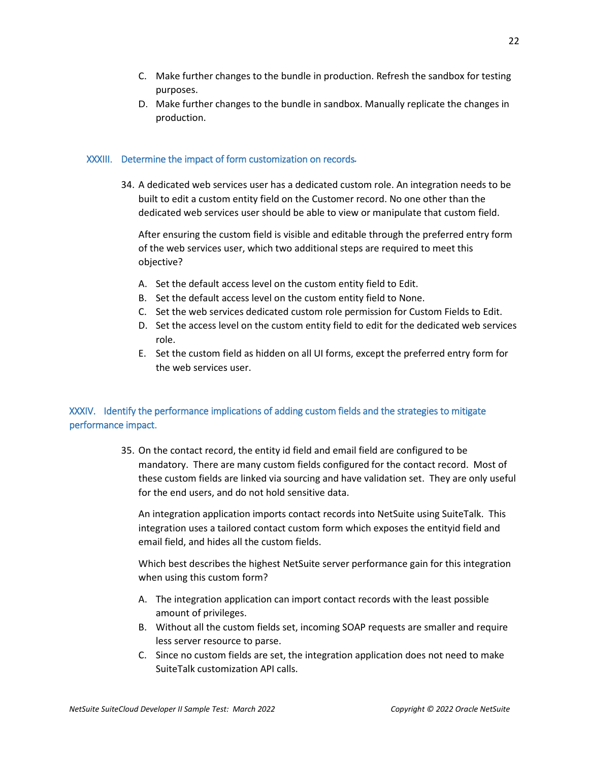- C. Make further changes to the bundle in production. Refresh the sandbox for testing purposes.
- D. Make further changes to the bundle in sandbox. Manually replicate the changes in production.

#### XXXIII. Determine the impact of form customization on records*.*

34. A dedicated web services user has a dedicated custom role. An integration needs to be built to edit a custom entity field on the Customer record. No one other than the dedicated web services user should be able to view or manipulate that custom field.

After ensuring the custom field is visible and editable through the preferred entry form of the web services user, which two additional steps are required to meet this objective?

- A. Set the default access level on the custom entity field to Edit.
- B. Set the default access level on the custom entity field to None.
- C. Set the web services dedicated custom role permission for Custom Fields to Edit.
- D. Set the access level on the custom entity field to edit for the dedicated web services role.
- E. Set the custom field as hidden on all UI forms, except the preferred entry form for the web services user.

## <span id="page-21-0"></span>XXXIV. Identify the performance implications of adding custom fields and the strategies to mitigate performance impact.

35. On the contact record, the entity id field and email field are configured to be mandatory. There are many custom fields configured for the contact record. Most of these custom fields are linked via sourcing and have validation set. They are only useful for the end users, and do not hold sensitive data.

An integration application imports contact records into NetSuite using SuiteTalk. This integration uses a tailored contact custom form which exposes the entityid field and email field, and hides all the custom fields.

Which best describes the highest NetSuite server performance gain for this integration when using this custom form?

- A. The integration application can import contact records with the least possible amount of privileges.
- B. Without all the custom fields set, incoming SOAP requests are smaller and require less server resource to parse.
- C. Since no custom fields are set, the integration application does not need to make SuiteTalk customization API calls.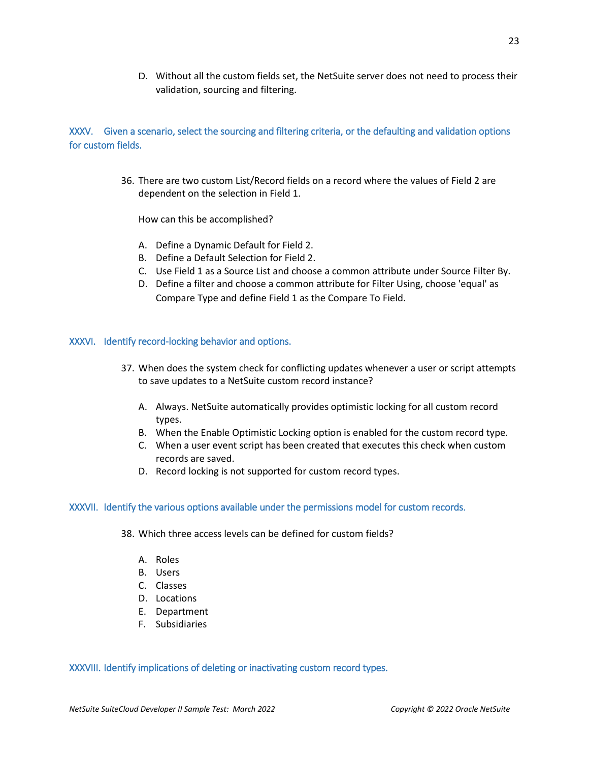D. Without all the custom fields set, the NetSuite server does not need to process their validation, sourcing and filtering.

## <span id="page-22-0"></span>XXXV. Given a scenario, select the sourcing and filtering criteria, or the defaulting and validation options for custom fields.

36. There are two custom List/Record fields on a record where the values of Field 2 are dependent on the selection in Field 1.

How can this be accomplished?

- A. Define a Dynamic Default for Field 2.
- B. Define a Default Selection for Field 2.
- C. Use Field 1 as a Source List and choose a common attribute under Source Filter By.
- D. Define a filter and choose a common attribute for Filter Using, choose 'equal' as Compare Type and define Field 1 as the Compare To Field.

#### <span id="page-22-1"></span>XXXVI. Identify record-locking behavior and options.

- 37. When does the system check for conflicting updates whenever a user or script attempts to save updates to a NetSuite custom record instance?
	- A. Always. NetSuite automatically provides optimistic locking for all custom record types.
	- B. When the Enable Optimistic Locking option is enabled for the custom record type.
	- C. When a user event script has been created that executes this check when custom records are saved.
	- D. Record locking is not supported for custom record types.

#### <span id="page-22-2"></span>XXXVII. Identify the various options available under the permissions model for custom records.

- 38. Which three access levels can be defined for custom fields?
	- A. Roles
	- B. Users
	- C. Classes
	- D. Locations
	- E. Department
	- F. Subsidiaries

#### <span id="page-22-3"></span>XXXVIII. Identify implications of deleting or inactivating custom record types.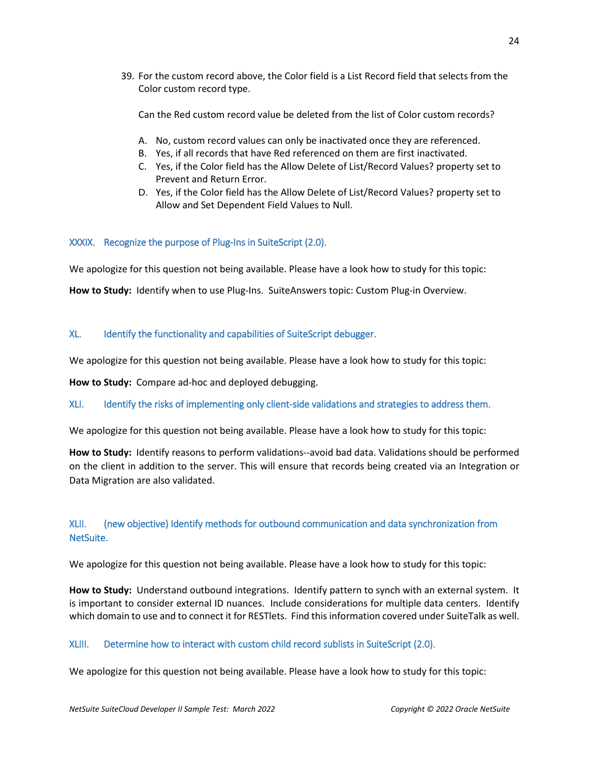39. For the custom record above, the Color field is a List Record field that selects from the Color custom record type.

Can the Red custom record value be deleted from the list of Color custom records?

- A. No, custom record values can only be inactivated once they are referenced.
- B. Yes, if all records that have Red referenced on them are first inactivated.
- C. Yes, if the Color field has the Allow Delete of List/Record Values? property set to Prevent and Return Error.
- D. Yes, if the Color field has the Allow Delete of List/Record Values? property set to Allow and Set Dependent Field Values to Null.

## <span id="page-23-0"></span>XXXIX. Recognize the purpose of Plug-Ins in SuiteScript (2.0).

We apologize for this question not being available. Please have a look how to study for this topic:

**How to Study:** Identify when to use Plug-Ins. SuiteAnswers topic: Custom Plug-in Overview.

## <span id="page-23-1"></span>XL. Identify the functionality and capabilities of SuiteScript debugger.

We apologize for this question not being available. Please have a look how to study for this topic:

**How to Study:** Compare ad-hoc and deployed debugging.

<span id="page-23-2"></span>XLI. Identify the risks of implementing only client-side validations and strategies to address them.

We apologize for this question not being available. Please have a look how to study for this topic:

**How to Study:** Identify reasons to perform validations--avoid bad data. Validations should be performed on the client in addition to the server. This will ensure that records being created via an Integration or Data Migration are also validated.

## <span id="page-23-3"></span>XLII. (new objective) Identify methods for outbound communication and data synchronization from NetSuite.

We apologize for this question not being available. Please have a look how to study for this topic:

**How to Study:** Understand outbound integrations. Identify pattern to synch with an external system. It is important to consider external ID nuances. Include considerations for multiple data centers. Identify which domain to use and to connect it for RESTlets. Find this information covered under SuiteTalk as well.

<span id="page-23-4"></span>XLIII. Determine how to interact with custom child record sublists in SuiteScript (2.0).

We apologize for this question not being available. Please have a look how to study for this topic: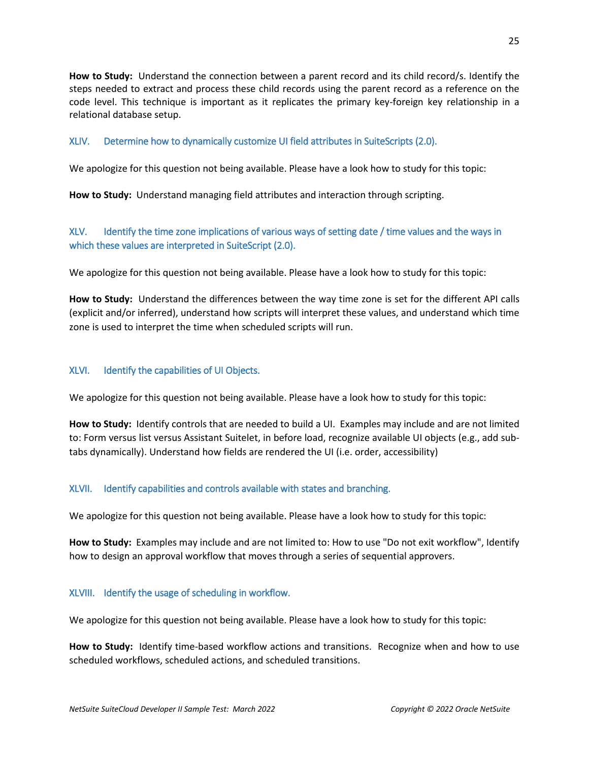**How to Study:** Understand the connection between a parent record and its child record/s. Identify the steps needed to extract and process these child records using the parent record as a reference on the code level. This technique is important as it replicates the primary key-foreign key relationship in a relational database setup.

## <span id="page-24-0"></span>XLIV. Determine how to dynamically customize UI field attributes in SuiteScripts (2.0).

We apologize for this question not being available. Please have a look how to study for this topic:

**How to Study:** Understand managing field attributes and interaction through scripting.

## <span id="page-24-1"></span>XLV. Identify the time zone implications of various ways of setting date / time values and the ways in which these values are interpreted in SuiteScript (2.0).

We apologize for this question not being available. Please have a look how to study for this topic:

**How to Study:** Understand the differences between the way time zone is set for the different API calls (explicit and/or inferred), understand how scripts will interpret these values, and understand which time zone is used to interpret the time when scheduled scripts will run.

## <span id="page-24-2"></span>XLVI. Identify the capabilities of UI Objects.

We apologize for this question not being available. Please have a look how to study for this topic:

**How to Study:** Identify controls that are needed to build a UI. Examples may include and are not limited to: Form versus list versus Assistant Suitelet, in before load, recognize available UI objects (e.g., add subtabs dynamically). Understand how fields are rendered the UI (i.e. order, accessibility)

#### <span id="page-24-3"></span>XLVII. Identify capabilities and controls available with states and branching.

We apologize for this question not being available. Please have a look how to study for this topic:

**How to Study:** Examples may include and are not limited to: How to use "Do not exit workflow", Identify how to design an approval workflow that moves through a series of sequential approvers.

#### <span id="page-24-4"></span>XLVIII. Identify the usage of scheduling in workflow.

We apologize for this question not being available. Please have a look how to study for this topic:

**How to Study:** Identify time-based workflow actions and transitions. Recognize when and how to use scheduled workflows, scheduled actions, and scheduled transitions.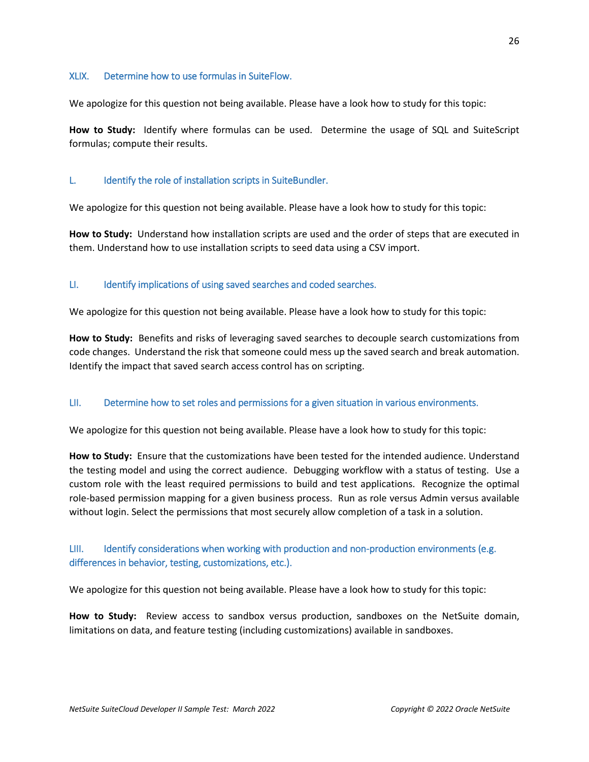#### <span id="page-25-0"></span>XLIX. Determine how to use formulas in SuiteFlow.

We apologize for this question not being available. Please have a look how to study for this topic:

**How to Study:** Identify where formulas can be used. Determine the usage of SQL and SuiteScript formulas; compute their results.

#### <span id="page-25-1"></span>L. Identify the role of installation scripts in SuiteBundler.

We apologize for this question not being available. Please have a look how to study for this topic:

**How to Study:** Understand how installation scripts are used and the order of steps that are executed in them. Understand how to use installation scripts to seed data using a CSV import.

#### <span id="page-25-2"></span>LI. Identify implications of using saved searches and coded searches.

We apologize for this question not being available. Please have a look how to study for this topic:

**How to Study:** Benefits and risks of leveraging saved searches to decouple search customizations from code changes. Understand the risk that someone could mess up the saved search and break automation. Identify the impact that saved search access control has on scripting.

#### <span id="page-25-3"></span>LII. Determine how to set roles and permissions for a given situation in various environments.

We apologize for this question not being available. Please have a look how to study for this topic:

**How to Study:** Ensure that the customizations have been tested for the intended audience. Understand the testing model and using the correct audience. Debugging workflow with a status of testing. Use a custom role with the least required permissions to build and test applications. Recognize the optimal role-based permission mapping for a given business process. Run as role versus Admin versus available without login. Select the permissions that most securely allow completion of a task in a solution.

## <span id="page-25-4"></span>LIII. Identify considerations when working with production and non-production environments (e.g. differences in behavior, testing, customizations, etc.).

We apologize for this question not being available. Please have a look how to study for this topic:

**How to Study:** Review access to sandbox versus production, sandboxes on the NetSuite domain, limitations on data, and feature testing (including customizations) available in sandboxes.